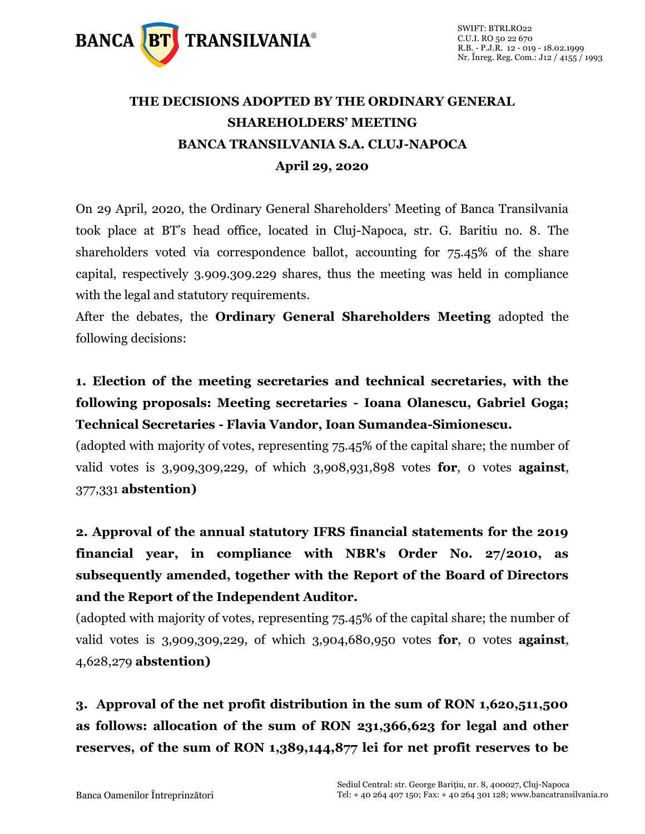

## **THE DECISIONS ADOPTED BY THE ORDINARY GENERAL SHAREHOLDERS' MEETING BANCA TRANSILVANIA S.A. CLUJ-NAPOCA April 29, 2020**

On 29 April, 2020, the Ordinary General Shareholders' Meeting of Banca Transilvania took place at BT's head office, located in Cluj-Napoca, str. G. Baritiu no. 8. The shareholders voted via correspondence ballot, accounting for 75.45% of the share capital, respectively 3.909.309.229 shares, thus the meeting was held in compliance with the legal and statutory requirements.

After the debates, the **Ordinary General Shareholders Meeting** adopted the following decisions:

**1. Election of the meeting secretaries and technical secretaries, with the following proposals: Meeting secretaries - Ioana Olanescu, Gabriel Goga; Technical Secretaries - Flavia Vandor, Ioan Sumandea-Simionescu.**

(adopted with majority of votes, representing 75.45% of the capital share; the number of valid votes is 3,909,309,229, of which 3,908,931,898 votes **for**, 0 votes **against**, 377,331 **abstention)**

**2. Approval of the annual statutory IFRS financial statements for the 2019 financial year, in compliance with NBR's Order No. 27/2010, as subsequently amended, together with the Report of the Board of Directors and the Report of the Independent Auditor.** 

(adopted with majority of votes, representing 75.45% of the capital share; the number of valid votes is 3,909,309,229, of which 3,904,680,950 votes **for**, 0 votes **against**, 4,628,279 **abstention)**

**3. Approval of the net profit distribution in the sum of RON 1,620,511,500 as follows: allocation of the sum of RON 231,366,623 for legal and other reserves, of the sum of RON 1,389,144,877 lei for net profit reserves to be**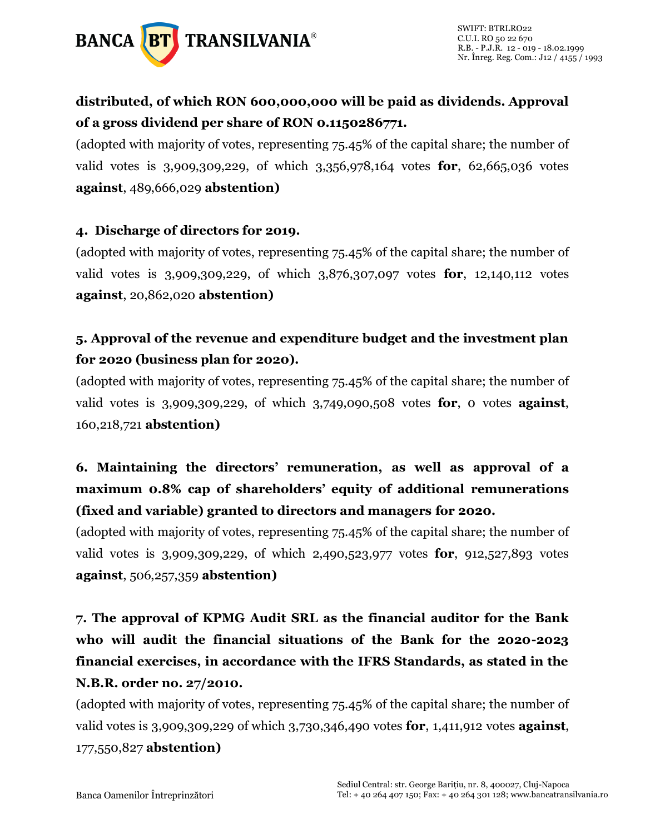

### **distributed, of which RON 600,000,000 will be paid as dividends. Approval of a gross dividend per share of RON 0.1150286771.**

(adopted with majority of votes, representing 75.45% of the capital share; the number of valid votes is 3,909,309,229, of which 3,356,978,164 votes **for**, 62,665,036 votes **against**, 489,666,029 **abstention)**

#### **4. Discharge of directors for 2019.**

(adopted with majority of votes, representing 75.45% of the capital share; the number of valid votes is 3,909,309,229, of which 3,876,307,097 votes **for**, 12,140,112 votes **against**, 20,862,020 **abstention)**

#### **5. Approval of the revenue and expenditure budget and the investment plan for 2020 (business plan for 2020).**

(adopted with majority of votes, representing 75.45% of the capital share; the number of valid votes is 3,909,309,229, of which 3,749,090,508 votes **for**, 0 votes **against**, 160,218,721 **abstention)**

## **6. Maintaining the directors' remuneration, as well as approval of a maximum 0.8% cap of shareholders' equity of additional remunerations (fixed and variable) granted to directors and managers for 2020.**

(adopted with majority of votes, representing 75.45% of the capital share; the number of valid votes is 3,909,309,229, of which 2,490,523,977 votes **for**, 912,527,893 votes **against**, 506,257,359 **abstention)**

**7. The approval of KPMG Audit SRL as the financial auditor for the Bank who will audit the financial situations of the Bank for the 2020-2023 financial exercises, in accordance with the IFRS Standards, as stated in the N.B.R. order no. 27/2010.**

(adopted with majority of votes, representing 75.45% of the capital share; the number of valid votes is 3,909,309,229 of which 3,730,346,490 votes **for**, 1,411,912 votes **against**, 177,550,827 **abstention)**